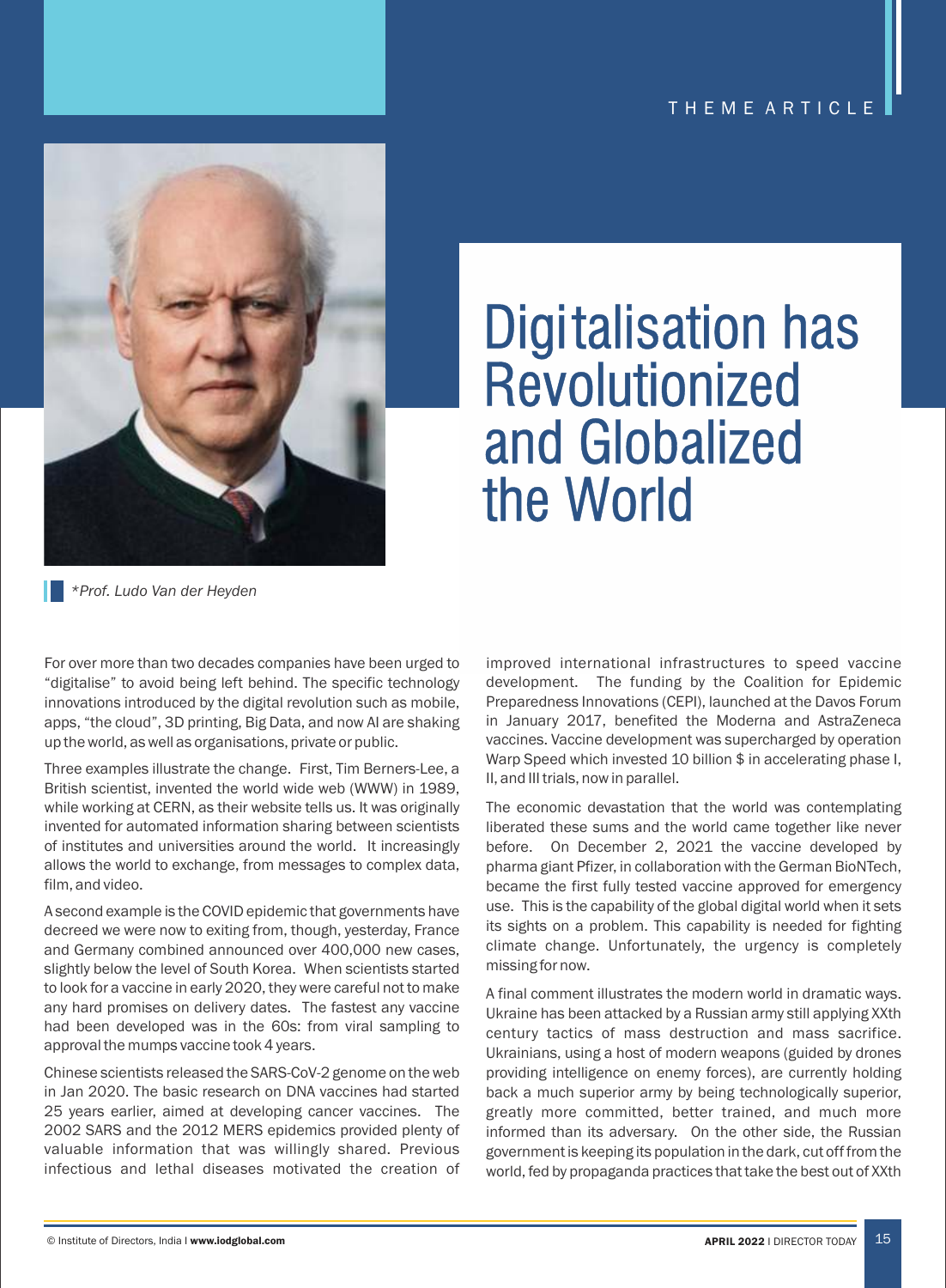

# Digitalisation has Revolutionized and Globalized the World

*\*Prof. Ludo Van der Heyden*

For over more than two decades companies have been urged to "digitalise" to avoid being left behind. The specific technology innovations introduced by the digital revolution such as mobile, apps, "the cloud", 3D printing, Big Data, and now AI are shaking up the world, as well as organisations, private or public.

Three examples illustrate the change. First, Tim Berners-Lee, a British scientist, invented the world wide web (WWW) in 1989, while working at CERN, as their website tells us. It was originally invented for automated information sharing between scientists of institutes and universities around the world. It increasingly allows the world to exchange, from messages to complex data, film, and video.

A second example is the COVID epidemic that governments have decreed we were now to exiting from, though, yesterday, France and Germany combined announced over 400,000 new cases, slightly below the level of South Korea. When scientists started to look for a vaccine in early 2020, they were careful not to make any hard promises on delivery dates. The fastest any vaccine had been developed was in the 60s: from viral sampling to approval the mumps vaccine took 4 years.

Chinese scientists released the SARS-CoV-2 genome on the web in Jan 2020. The basic research on DNA vaccines had started 25 years earlier, aimed at developing cancer vaccines. The 2002 SARS and the 2012 MERS epidemics provided plenty of valuable information that was willingly shared. Previous infectious and lethal diseases motivated the creation of

improved international infrastructures to speed vaccine development. The funding by the Coalition for Epidemic Preparedness Innovations (CEPI), launched at the Davos Forum in January 2017, benefited the Moderna and AstraZeneca vaccines. Vaccine development was supercharged by operation Warp Speed which invested 10 billion \$ in accelerating phase I, II, and III trials, now in parallel.

The economic devastation that the world was contemplating liberated these sums and the world came together like never before. On December 2, 2021 the vaccine developed by pharma giant Pfizer, in collaboration with the German BioNTech, became the first fully tested vaccine approved for emergency use. This is the capability of the global digital world when it sets its sights on a problem. This capability is needed for fighting climate change. Unfortunately, the urgency is completely missing for now.

A final comment illustrates the modern world in dramatic ways. Ukraine has been attacked by a Russian army still applying XXth century tactics of mass destruction and mass sacrifice. Ukrainians, using a host of modern weapons (guided by drones providing intelligence on enemy forces), are currently holding back a much superior army by being technologically superior, greatly more committed, better trained, and much more informed than its adversary. On the other side, the Russian government is keeping its population in the dark, cut off from the world, fed by propaganda practices that take the best out of XXth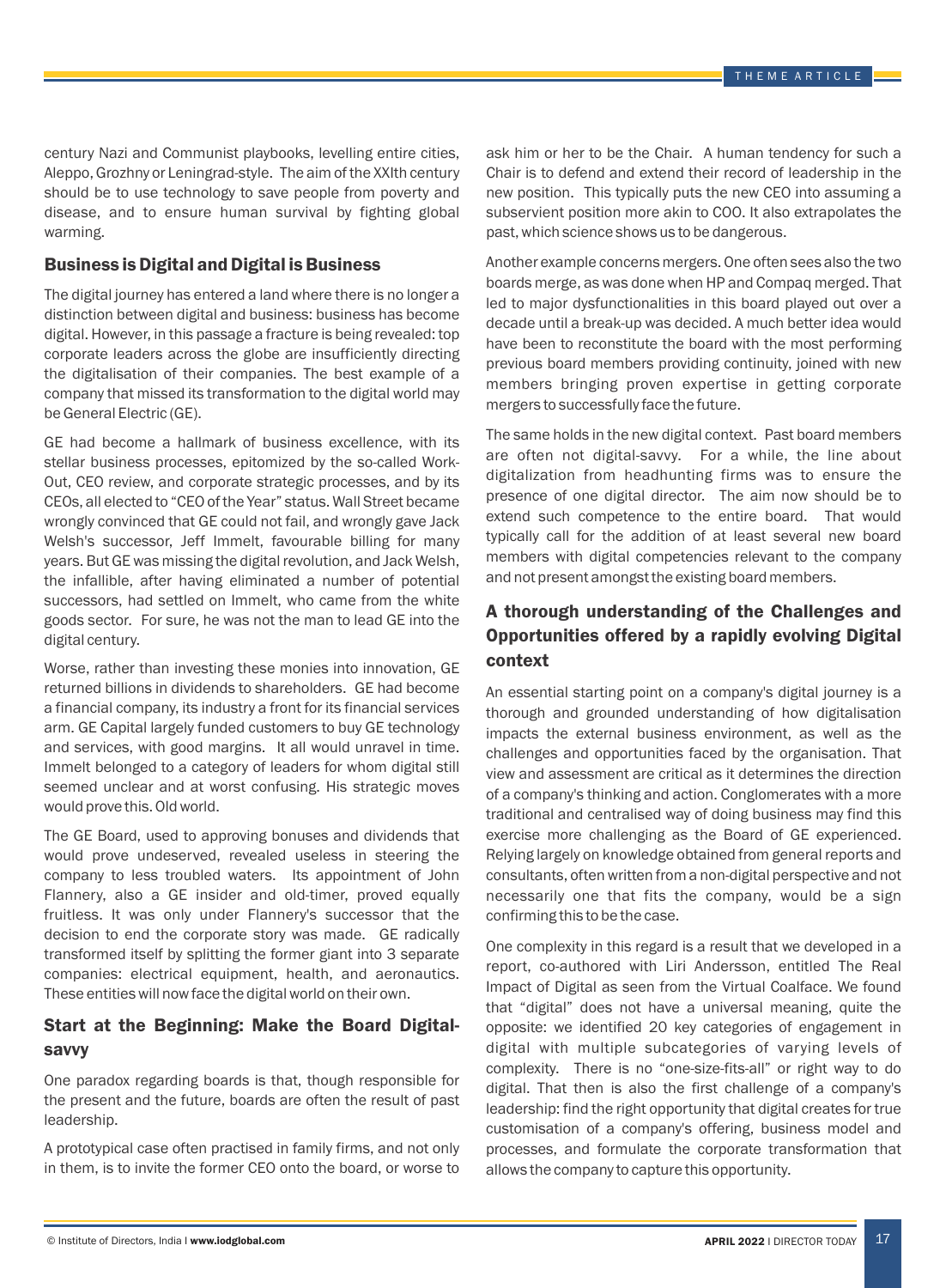century Nazi and Communist playbooks, levelling entire cities, Aleppo, Grozhny or Leningrad-style. The aim of the XXIth century should be to use technology to save people from poverty and disease, and to ensure human survival by fighting global warming.

#### Business is Digital and Digital is Business

The digital journey has entered a land where there is no longer a distinction between digital and business: business has become digital. However, in this passage a fracture is being revealed: top corporate leaders across the globe are insufficiently directing the digitalisation of their companies. The best example of a company that missed its transformation to the digital world may be General Electric (GE).

GE had become a hallmark of business excellence, with its stellar business processes, epitomized by the so-called Work-Out, CEO review, and corporate strategic processes, and by its CEOs, all elected to "CEO of the Year" status. Wall Street became wrongly convinced that GE could not fail, and wrongly gave Jack Welsh's successor, Jeff Immelt, favourable billing for many years. But GE was missing the digital revolution, and Jack Welsh, the infallible, after having eliminated a number of potential successors, had settled on Immelt, who came from the white goods sector. For sure, he was not the man to lead GE into the digital century.

Worse, rather than investing these monies into innovation, GE returned billions in dividends to shareholders. GE had become a financial company, its industry a front for its financial services arm. GE Capital largely funded customers to buy GE technology and services, with good margins. It all would unravel in time. Immelt belonged to a category of leaders for whom digital still seemed unclear and at worst confusing. His strategic moves would prove this. Old world.

The GE Board, used to approving bonuses and dividends that would prove undeserved, revealed useless in steering the company to less troubled waters. Its appointment of John Flannery, also a GE insider and old-timer, proved equally fruitless. It was only under Flannery's successor that the decision to end the corporate story was made. GE radically transformed itself by splitting the former giant into 3 separate companies: electrical equipment, health, and aeronautics. These entities will now face the digital world on their own.

### Start at the Beginning: Make the Board Digitalsavvy

One paradox regarding boards is that, though responsible for the present and the future, boards are often the result of past leadership.

A prototypical case often practised in family firms, and not only in them, is to invite the former CEO onto the board, or worse to

ask him or her to be the Chair. A human tendency for such a Chair is to defend and extend their record of leadership in the new position. This typically puts the new CEO into assuming a subservient position more akin to COO. It also extrapolates the past, which science shows us to be dangerous.

Another example concerns mergers. One often sees also the two boards merge, as was done when HP and Compaq merged. That led to major dysfunctionalities in this board played out over a decade until a break-up was decided. A much better idea would have been to reconstitute the board with the most performing previous board members providing continuity, joined with new members bringing proven expertise in getting corporate mergers to successfully face the future.

The same holds in the new digital context. Past board members are often not digital-savvy. For a while, the line about digitalization from headhunting firms was to ensure the presence of one digital director. The aim now should be to extend such competence to the entire board. That would typically call for the addition of at least several new board members with digital competencies relevant to the company and not present amongst the existing board members.

## A thorough understanding of the Challenges and Opportunities offered by a rapidly evolving Digital context

An essential starting point on a company's digital journey is a thorough and grounded understanding of how digitalisation impacts the external business environment, as well as the challenges and opportunities faced by the organisation. That view and assessment are critical as it determines the direction of a company's thinking and action. Conglomerates with a more traditional and centralised way of doing business may find this exercise more challenging as the Board of GE experienced. Relying largely on knowledge obtained from general reports and consultants, often written from a non-digital perspective and not necessarily one that fits the company, would be a sign confirming this to be the case.

One complexity in this regard is a result that we developed in a report, co-authored with Liri Andersson, entitled The Real Impact of Digital as seen from the Virtual Coalface. We found that "digital" does not have a universal meaning, quite the opposite: we identified 20 key categories of engagement in digital with multiple subcategories of varying levels of complexity. There is no "one-size-fits-all" or right way to do digital. That then is also the first challenge of a company's leadership: find the right opportunity that digital creates for true customisation of a company's offering, business model and processes, and formulate the corporate transformation that allows the company to capture this opportunity.